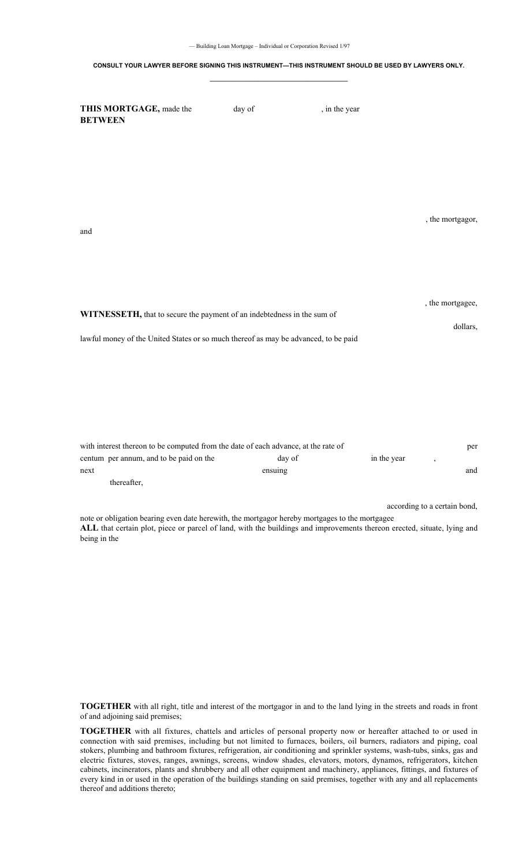# **CONSULT YOUR LAWYER BEFORE SIGNING THIS INSTRUMENT—THIS INSTRUMENT SHOULD BE USED BY LAWYERS ONLY. —————————————————**

**THIS MORTGAGE,** made the day of , in the year **BETWEEN**

and

, the mortgagor,

, the mortgagee,

dollars,

lawful money of the United States or so much thereof as may be advanced, to be paid

**WITNESSETH,** that to secure the payment of an indebtedness in the sum of

with interest thereon to be computed from the date of each advance, at the rate of per centum per annum, and to be paid on the day of in the year  $\frac{1}{2}$ next ensuing and and the ensuing and the ensuing and the ensuing and the ensuing and the ensuing and the ensuing and the ensuing and the ensuing and the ensuing and the ensuing and the ensuing and the ensuing and the ensui thereafter,

according to a certain bond,

note or obligation bearing even date herewith, the mortgagor hereby mortgages to the mortgagee **ALL** that certain plot, piece or parcel of land, with the buildings and improvements thereon erected, situate, lying and being in the

**TOGETHER** with all right, title and interest of the mortgagor in and to the land lying in the streets and roads in front of and adjoining said premises;

**TOGETHER** with all fixtures, chattels and articles of personal property now or hereafter attached to or used in connection with said premises, including but not limited to furnaces, boilers, oil burners, radiators and piping, coal stokers, plumbing and bathroom fixtures, refrigeration, air conditioning and sprinkler systems, wash-tubs, sinks, gas and electric fixtures, stoves, ranges, awnings, screens, window shades, elevators, motors, dynamos, refrigerators, kitchen cabinets, incinerators, plants and shrubbery and all other equipment and machinery, appliances, fittings, and fixtures of every kind in or used in the operation of the buildings standing on said premises, together with any and all replacements thereof and additions thereto;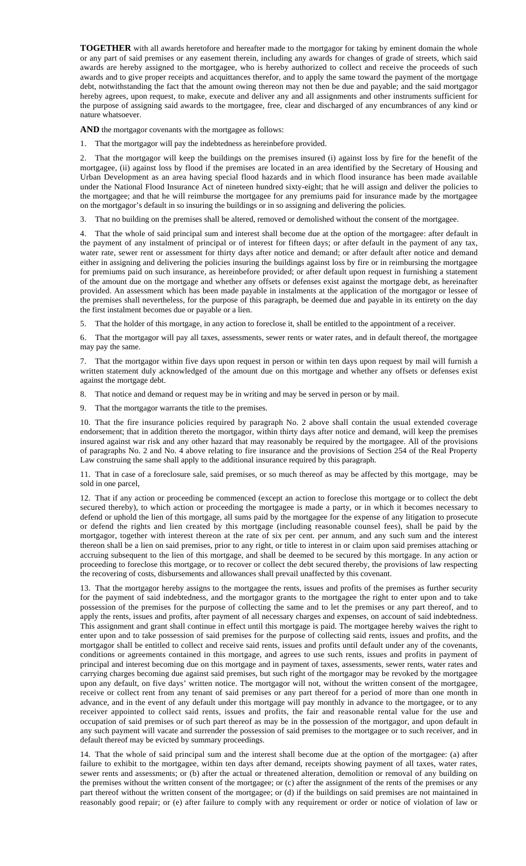**TOGETHER** with all awards heretofore and hereafter made to the mortgagor for taking by eminent domain the whole or any part of said premises or any easement therein, including any awards for changes of grade of streets, which said awards are hereby assigned to the mortgagee, who is hereby authorized to collect and receive the proceeds of such awards and to give proper receipts and acquittances therefor, and to apply the same toward the payment of the mortgage debt, notwithstanding the fact that the amount owing thereon may not then be due and payable; and the said mortgagor hereby agrees, upon request, to make, execute and deliver any and all assignments and other instruments sufficient for the purpose of assigning said awards to the mortgagee, free, clear and discharged of any encumbrances of any kind or nature whatsoever.

**AND** the mortgagor covenants with the mortgagee as follows:

1. That the mortgagor will pay the indebtedness as hereinbefore provided.

2. That the mortgagor will keep the buildings on the premises insured (i) against loss by fire for the benefit of the mortgagee, (ii) against loss by flood if the premises are located in an area identified by the Secretary of Housing and Urban Development as an area having special flood hazards and in which flood insurance has been made available under the National Flood Insurance Act of nineteen hundred sixty-eight; that he will assign and deliver the policies to the mortgagee; and that he will reimburse the mortgagee for any premiums paid for insurance made by the mortgagee on the mortgagor's default in so insuring the buildings or in so assigning and delivering the policies.

3. That no building on the premises shall be altered, removed or demolished without the consent of the mortgagee.

4. That the whole of said principal sum and interest shall become due at the option of the mortgagee: after default in the payment of any instalment of principal or of interest for fifteen days; or after default in the payment of any tax, water rate, sewer rent or assessment for thirty days after notice and demand; or after default after notice and demand either in assigning and delivering the policies insuring the buildings against loss by fire or in reimbursing the mortgagee for premiums paid on such insurance, as hereinbefore provided; or after default upon request in furnishing a statement of the amount due on the mortgage and whether any offsets or defenses exist against the mortgage debt, as hereinafter provided. An assessment which has been made payable in instalments at the application of the mortgagor or lessee of the premises shall nevertheless, for the purpose of this paragraph, be deemed due and payable in its entirety on the day the first instalment becomes due or payable or a lien.

5. That the holder of this mortgage, in any action to foreclose it, shall be entitled to the appointment of a receiver.

6. That the mortgagor will pay all taxes, assessments, sewer rents or water rates, and in default thereof, the mortgagee may pay the same.

7. That the mortgagor within five days upon request in person or within ten days upon request by mail will furnish a written statement duly acknowledged of the amount due on this mortgage and whether any offsets or defenses exist against the mortgage debt.

8. That notice and demand or request may be in writing and may be served in person or by mail.

9. That the mortgagor warrants the title to the premises.

10. That the fire insurance policies required by paragraph No. 2 above shall contain the usual extended coverage endorsement; that in addition thereto the mortgagor, within thirty days after notice and demand, will keep the premises insured against war risk and any other hazard that may reasonably be required by the mortgagee. All of the provisions of paragraphs No. 2 and No. 4 above relating to fire insurance and the provisions of Section 254 of the Real Property Law construing the same shall apply to the additional insurance required by this paragraph.

11. That in case of a foreclosure sale, said premises, or so much thereof as may be affected by this mortgage, may be sold in one parcel,

12. That if any action or proceeding be commenced (except an action to foreclose this mortgage or to collect the debt secured thereby), to which action or proceeding the mortgagee is made a party, or in which it becomes necessary to defend or uphold the lien of this mortgage, all sums paid by the mortgagee for the expense of any litigation to prosecute or defend the rights and lien created by this mortgage (including reasonable counsel fees), shall be paid by the mortgagor, together with interest thereon at the rate of six per cent. per annum, and any such sum and the interest thereon shall be a lien on said premises, prior to any right, or title to interest in or claim upon said premises attaching or accruing subsequent to the lien of this mortgage, and shall be deemed to be secured by this mortgage. In any action or proceeding to foreclose this mortgage, or to recover or collect the debt secured thereby, the provisions of law respecting the recovering of costs, disbursements and allowances shall prevail unaffected by this covenant.

13. That the mortgagor hereby assigns to the mortgagee the rents, issues and profits of the premises as further security for the payment of said indebtedness, and the mortgagor grants to the mortgagee the right to enter upon and to take possession of the premises for the purpose of collecting the same and to let the premises or any part thereof, and to apply the rents, issues and profits, after payment of all necessary charges and expenses, on account of said indebtedness. This assignment and grant shall continue in effect until this mortgage is paid. The mortgagee hereby waives the right to enter upon and to take possession of said premises for the purpose of collecting said rents, issues and profits, and the mortgagor shall be entitled to collect and receive said rents, issues and profits until default under any of the covenants, conditions or agreements contained in this mortgage, and agrees to use such rents, issues and profits in payment of principal and interest becoming due on this mortgage and in payment of taxes, assessments, sewer rents, water rates and carrying charges becoming due against said premises, but such right of the mortgagor may be revoked by the mortgagee upon any default, on five days' written notice. The mortgagor will not, without the written consent of the mortgagee, receive or collect rent from any tenant of said premises or any part thereof for a period of more than one month in advance, and in the event of any default under this mortgage will pay monthly in advance to the mortgagee, or to any receiver appointed to collect said rents, issues and profits, the fair and reasonable rental value for the use and occupation of said premises or of such part thereof as may be in the possession of the mortgagor, and upon default in any such payment will vacate and surrender the possession of said premises to the mortgagee or to such receiver, and in default thereof may be evicted by summary proceedings.

14. That the whole of said principal sum and the interest shall become due at the option of the mortgagee: (a) after failure to exhibit to the mortgagee, within ten days after demand, receipts showing payment of all taxes, water rates, sewer rents and assessments; or (b) after the actual or threatened alteration, demolition or removal of any building on the premises without the written consent of the mortgagee; or (c) after the assignment of the rents of the premises or any part thereof without the written consent of the mortgagee; or (d) if the buildings on said premises are not maintained in reasonably good repair; or (e) after failure to comply with any requirement or order or notice of violation of law or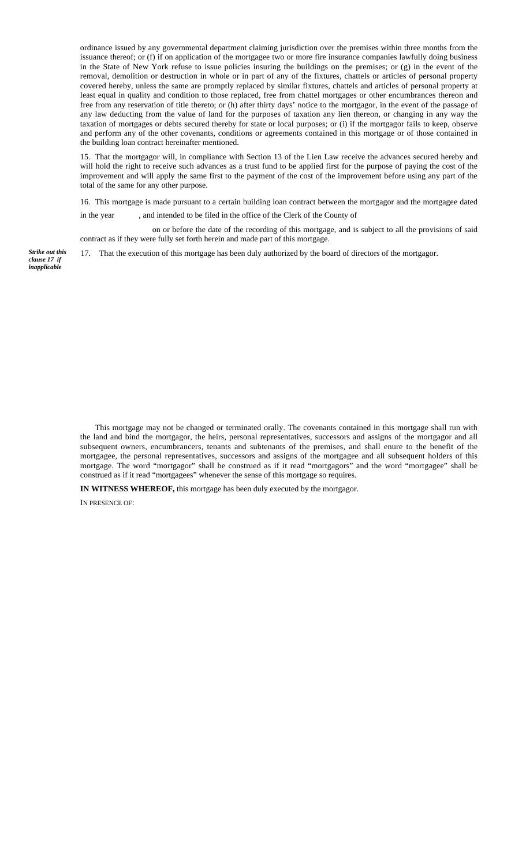ordinance issued by any governmental department claiming jurisdiction over the premises within three months from the issuance thereof; or (f) if on application of the mortgagee two or more fire insurance companies lawfully doing business in the State of New York refuse to issue policies insuring the buildings on the premises; or (g) in the event of the removal, demolition or destruction in whole or in part of any of the fixtures, chattels or articles of personal property covered hereby, unless the same are promptly replaced by similar fixtures, chattels and articles of personal property at least equal in quality and condition to those replaced, free from chattel mortgages or other encumbrances thereon and free from any reservation of title thereto; or (h) after thirty days' notice to the mortgagor, in the event of the passage of any law deducting from the value of land for the purposes of taxation any lien thereon, or changing in any way the taxation of mortgages or debts secured thereby for state or local purposes; or (i) if the mortgagor fails to keep, observe and perform any of the other covenants, conditions or agreements contained in this mortgage or of those contained in the building loan contract hereinafter mentioned.

15. That the mortgagor will, in compliance with Section 13 of the Lien Law receive the advances secured hereby and will hold the right to receive such advances as a trust fund to be applied first for the purpose of paying the cost of the improvement and will apply the same first to the payment of the cost of the improvement before using any part of the total of the same for any other purpose.

16. This mortgage is made pursuant to a certain building loan contract between the mortgagor and the mortgagee dated

in the year , and intended to be filed in the office of the Clerk of the County of

 on or before the date of the recording of this mortgage, and is subject to all the provisions of said contract as if they were fully set forth herein and made part of this mortgage.

17. That the execution of this mortgage has been duly authorized by the board of directors of the mortgagor.

*Strike out this clause 17 if inapplicable*

> This mortgage may not be changed or terminated orally. The covenants contained in this mortgage shall run with the land and bind the mortgagor, the heirs, personal representatives, successors and assigns of the mortgagor and all subsequent owners, encumbrancers, tenants and subtenants of the premises, and shall enure to the benefit of the mortgagee, the personal representatives, successors and assigns of the mortgagee and all subsequent holders of this mortgage. The word "mortgagor" shall be construed as if it read "mortgagors" and the word "mortgagee" shall be construed as if it read "mortgagees" whenever the sense of this mortgage so requires.

**IN WITNESS WHEREOF,** this mortgage has been duly executed by the mortgagor.

IN PRESENCE OF: